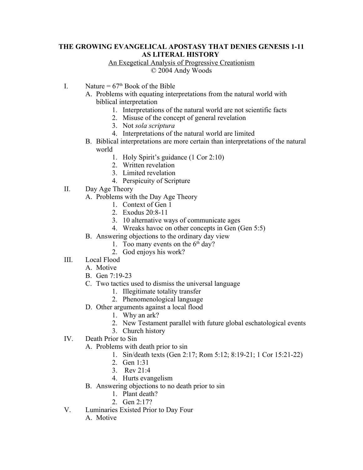## **THE GROWING EVANGELICAL APOSTASY THAT DENIES GENESIS 1-11 AS LITERAL HISTORY**

## An Exegetical Analysis of Progressive Creationism © 2004 Andy Woods

- I. Nature =  $67<sup>th</sup>$  Book of the Bible
	- A. Problems with equating interpretations from the natural world with biblical interpretation
		- 1. Interpretations of the natural world are not scientific facts
		- 2. Misuse of the concept of general revelation
		- 3. Not *sola scriptura*
		- 4. Interpretations of the natural world are limited
	- B. Biblical interpretations are more certain than interpretations of the natural world
		- 1. Holy Spirit's guidance (1 Cor 2:10)
		- 2. Written revelation
		- 3. Limited revelation
		- 4. Perspicuity of Scripture
- II. Day Age Theory
	- A. Problems with the Day Age Theory
		- 1. Context of Gen 1
		- 2. Exodus 20:8-11
		- 3. 10 alternative ways of communicate ages
		- 4. Wreaks havoc on other concepts in Gen (Gen 5:5)
	- B. Answering objections to the ordinary day view
		- 1. Too many events on the  $6<sup>th</sup>$  day?
		- 2. God enjoys his work?
- III. Local Flood
	- A. Motive
	- B. Gen 7:19-23
	- C. Two tactics used to dismiss the universal language
		- 1. Illegitimate totality transfer
			- 2. Phenomenological language
	- D. Other arguments against a local flood
		- 1. Why an ark?
		- 2. New Testament parallel with future global eschatological events
		- 3. Church history
- IV. Death Prior to Sin
	- A. Problems with death prior to sin
		- 1. Sin/death texts (Gen 2:17; Rom 5:12; 8:19-21; 1 Cor 15:21-22)
		- 2. Gen 1:31
		- 3. Rev 21:4
		- 4. Hurts evangelism
	- B. Answering objections to no death prior to sin
		- 1. Plant death?
		- 2. Gen 2:17?
- V. Luminaries Existed Prior to Day Four
	- A. Motive